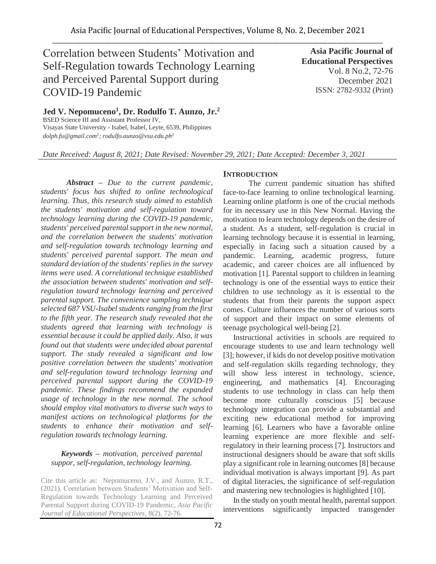# Correlation between Students' Motivation and Self-Regulation towards Technology Learning and Perceived Parental Support during COVID-19 Pandemic

**Asia Pacific Journal of Educational Perspectives**  Vol. 8 No.2, 72-76 December 2021 ISSN: 2782-9332 (Print)

**Jed V. Nepomuceno<sup>1</sup> , Dr. Rodulfo T. Aunzo, Jr.<sup>2</sup>** BSED Science III and Assistant Professor IV, Visayas State University - Isabel, Isabel, Leyte, 6539, Philippines *dolph.fu@gmail.com<sup>1</sup> ; rodulfo.aunzo@vsu.edu.ph<sup>2</sup>*

*Date Received: August 8, 2021; Date Revised: November 29, 2021; Date Accepted: December 3, 2021*

*Abstract – Due to the current pandemic, students' focus has shifted to online technological learning. Thus, this research study aimed to establish the students' motivation and self-regulation toward technology learning during the COVID-19 pandemic, students' perceived parental support in the new normal, and the correlation between the students' motivation and self-regulation towards technology learning and students' perceived parental support. The mean and standard deviation of the students' replies in the survey items were used. A correlational technique established the association between students' motivation and selfregulation toward technology learning and perceived parental support. The convenience sampling technique selected 687 VSU-Isabel students ranging from the first to the fifth year. The research study revealed that the students agreed that learning with technology is essential because it could be applied daily. Also, it was found out that students were undecided about parental support. The study revealed a significant and low positive correlation between the students' motivation and self-regulation toward technology learning and perceived parental support during the COVID-19 pandemic. These findings recommend the expanded usage of technology in the new normal. The school should employ vital motivators to diverse such ways to manifest actions on technological platforms for the students to enhance their motivation and selfregulation towards technology learning.*

# *Keywords – motivation, perceived parental suppor, self-regulation, technology learning.*

Cite this article as: Nepomuceno, J.V., and Aunzo, R.T., (2021). Correlation between Students' Motivation and Self-Regulation towards Technology Learning and Perceived Parental Support during COVID-19 Pandemic, *Asia Pacific Journal of Educational Perspectives,* 8(2), 72-76*.*

# **INTRODUCTION**

The current pandemic situation has shifted face-to-face learning to online technological learning. Learning online platform is one of the crucial methods for its necessary use in this New Normal. Having the motivation to learn technology depends on the desire of a student. As a student, self-regulation is crucial in learning technology because it is essential in learning, especially in facing such a situation caused by a pandemic. Learning, academic progress, future academic, and career choices are all influenced by motivation [1]. Parental support to children in learning technology is one of the essential ways to entice their children to use technology as it is essential to the students that from their parents the support aspect comes. Culture influences the number of various sorts of support and their impact on some elements of teenage psychological well-being [2].

Instructional activities in schools are required to encourage students to use and learn technology well [3]; however, if kids do not develop positive motivation and self-regulation skills regarding technology, they will show less interest in technology, science, engineering, and mathematics [4]. Encouraging students to use technology in class can help them become more culturally conscious [5] because technology integration can provide a substantial and exciting new educational method for improving learning [6]. Learners who have a favorable online learning experience are more flexible and selfregulatory in their learning process [7]. Instructors and instructional designers should be aware that soft skills play a significant role in learning outcomes [8] because individual motivation is always important [9]. As part of digital literacies, the significance of self-regulation and mastering new technologies is highlighted [10].

In the study on youth mental health, parental support interventions significantly impacted transgender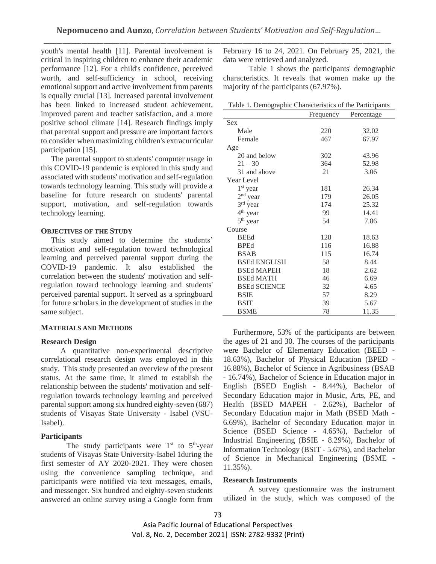youth's mental health [11]. Parental involvement is critical in inspiring children to enhance their academic performance [12]. For a child's confidence, perceived worth, and self-sufficiency in school, receiving emotional support and active involvement from parents is equally crucial [13]. Increased parental involvement has been linked to increased student achievement, improved parent and teacher satisfaction, and a more positive school climate [14]. Research findings imply that parental support and pressure are important factors to consider when maximizing children's extracurricular participation [15].

The parental support to students' computer usage in this COVID-19 pandemic is explored in this study and associated with students' motivation and self-regulation towards technology learning. This study will provide a baseline for future research on students' parental support, motivation, and self-regulation towards technology learning.

## **OBJECTIVES OF THE STUDY**

This study aimed to determine the students' motivation and self-regulation toward technological learning and perceived parental support during the COVID-19 pandemic. It also established the correlation between the students' motivation and selfregulation toward technology learning and students' perceived parental support. It served as a springboard for future scholars in the development of studies in the same subject.

## **MATERIALS AND METHODS**

## **Research Design**

 A quantitative non-experimental descriptive correlational research design was employed in this study. This study presented an overview of the present status. At the same time, it aimed to establish the relationship between the students' motivation and selfregulation towards technology learning and perceived parental support among six hundred eighty-seven (687) students of Visayas State University - Isabel (VSU-Isabel).

## **Participants**

The study participants were  $1<sup>st</sup>$  to  $5<sup>th</sup>$ -year students of Visayas State University-Isabel 1during the first semester of AY 2020-2021. They were chosen using the convenience sampling technique, and participants were notified via text messages, emails, and messenger. Six hundred and eighty-seven students answered an online survey using a Google form from

February 16 to 24, 2021. On February 25, 2021, the data were retrieved and analyzed.

Table 1 shows the participants' demographic characteristics. It reveals that women make up the majority of the participants (67.97%).

| 10001                | Frequency | $\frac{1}{2}$<br>Percentage |
|----------------------|-----------|-----------------------------|
| <b>Sex</b>           |           |                             |
| Male                 | 220       | 32.02                       |
| Female               | 467       | 67.97                       |
| Age                  |           |                             |
| 20 and below         | 302       | 43.96                       |
| $21 - 30$            | 364       | 52.98                       |
| 31 and above         | 21        | 3.06                        |
| Year Level           |           |                             |
| $1st$ year           | 181       | 26.34                       |
| $2nd$ year           | 179       | 26.05                       |
| $3rd$ year           | 174       | 25.32                       |
| 4 <sup>th</sup> year | 99        | 14.41                       |
| $5th$ year           | 54        | 7.86                        |
| Course               |           |                             |
| <b>BEEd</b>          | 128       | 18.63                       |
| <b>BPEd</b>          | 116       | 16.88                       |
| <b>BSAB</b>          | 115       | 16.74                       |
| <b>BSEd ENGLISH</b>  | 58        | 8.44                        |
| <b>BSEd MAPEH</b>    | 18        | 2.62                        |
| <b>BSEd MATH</b>     | 46        | 6.69                        |
| <b>BSEd SCIENCE</b>  | 32        | 4.65                        |
| <b>BSIE</b>          | 57        | 8.29                        |
| <b>BSIT</b>          | 39        | 5.67                        |
| <b>BSME</b>          | 78        | 11.35                       |

Furthermore, 53% of the participants are between the ages of 21 and 30. The courses of the participants were Bachelor of Elementary Education (BEED - 18.63%), Bachelor of Physical Education (BPED - 16.88%), Bachelor of Science in Agribusiness (BSAB - 16.74%), Bachelor of Science in Education major in English (BSED English - 8.44%), Bachelor of Secondary Education major in Music, Arts, PE, and Health (BSED MAPEH - 2.62%), Bachelor of Secondary Education major in Math (BSED Math - 6.69%), Bachelor of Secondary Education major in Science (BSED Science - 4.65%), Bachelor of Industrial Engineering (BSIE - 8.29%), Bachelor of Information Technology (BSIT - 5.67%), and Bachelor of Science in Mechanical Engineering (BSME - 11.35%).

#### **Research Instruments**

A survey questionnaire was the instrument utilized in the study, which was composed of the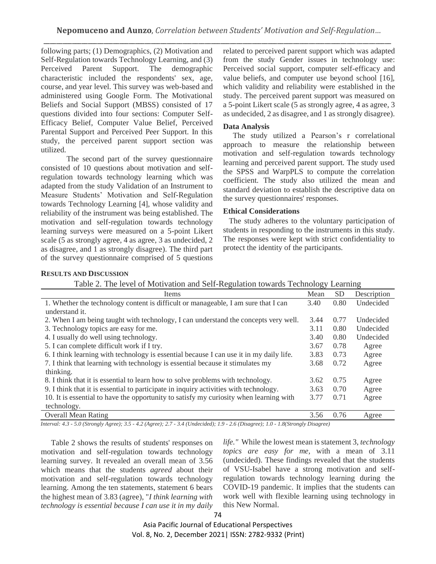following parts; (1) Demographics, (2) Motivation and Self-Regulation towards Technology Learning, and (3) Perceived Parent Support. The demographic characteristic included the respondents' sex, age, course, and year level. This survey was web-based and administered using Google Form. The Motivational Beliefs and Social Support (MBSS) consisted of 17 questions divided into four sections: Computer Self-Efficacy Belief, Computer Value Belief, Perceived Parental Support and Perceived Peer Support. In this study, the perceived parent support section was utilized.

The second part of the survey questionnaire consisted of 10 questions about motivation and selfregulation towards technology learning which was adapted from the study Validation of an Instrument to Measure Students' Motivation and Self-Regulation towards Technology Learning [4], whose validity and reliability of the instrument was being established. The motivation and self-regulation towards technology learning surveys were measured on a 5-point Likert scale (5 as strongly agree, 4 as agree, 3 as undecided, 2 as disagree, and 1 as strongly disagree). The third part of the survey questionnaire comprised of 5 questions related to perceived parent support which was adapted from the study Gender issues in technology use: Perceived social support, computer self-efficacy and value beliefs, and computer use beyond school [16], which validity and reliability were established in the study. The perceived parent support was measured on a 5-point Likert scale (5 as strongly agree, 4 as agree, 3 as undecided, 2 as disagree, and 1 as strongly disagree)*.* 

# **Data Analysis**

 The study utilized a Pearson's r correlational approach to measure the relationship between motivation and self-regulation towards technology learning and perceived parent support. The study used the SPSS and WarpPLS to compute the correlation coefficient. The study also utilized the mean and standard deviation to establish the descriptive data on the survey questionnaires' responses.

# **Ethical Considerations**

 The study adheres to the voluntary participation of students in responding to the instruments in this study. The responses were kept with strict confidentiality to protect the identity of the participants.

# **RESULTS AND DISCUSSION**

|  |  |  | Table 2. The level of Motivation and Self-Regulation towards Technology Learning |  |  |
|--|--|--|----------------------------------------------------------------------------------|--|--|
|  |  |  |                                                                                  |  |  |

| Items                                                                                   | Mean | <b>SD</b> | Description |
|-----------------------------------------------------------------------------------------|------|-----------|-------------|
| 1. Whether the technology content is difficult or manageable, I am sure that I can      | 3.40 | 0.80      | Undecided   |
| understand it.                                                                          |      |           |             |
| 2. When I am being taught with technology, I can understand the concepts very well.     | 3.44 | 0.77      | Undecided   |
| 3. Technology topics are easy for me.                                                   | 3.11 | 0.80      | Undecided   |
| 4. I usually do well using technology.                                                  | 3.40 | 0.80      | Undecided   |
| 5. I can complete difficult work if I try.                                              | 3.67 | 0.78      | Agree       |
| 6. I think learning with technology is essential because I can use it in my daily life. | 3.83 | 0.73      | Agree       |
| 7. I think that learning with technology is essential because it stimulates my          | 3.68 | 0.72      | Agree       |
| thinking.                                                                               |      |           |             |
| 8. I think that it is essential to learn how to solve problems with technology.         | 3.62 | 0.75      | Agree       |
| 9. I think that it is essential to participate in inquiry activities with technology.   | 3.63 | 0.70      | Agree       |
| 10. It is essential to have the opportunity to satisfy my curiosity when learning with  | 3.77 | 0.71      | Agree       |
| technology.                                                                             |      |           |             |
| <b>Overall Mean Rating</b>                                                              | 3.56 | 0.76      | Agree       |

*Interval: 4.3 - 5.0 (Strongly Agree); 3.5 - 4.2 (Agree); 2.7 - 3.4 (Undecided); 1.9 - 2.6 (Disagree); 1.0 - 1.8(Strongly Disagree)*

Table 2 shows the results of students' responses on motivation and self-regulation towards technology learning survey. It revealed an overall mean of 3.56 which means that the students *agreed* about their motivation and self-regulation towards technology learning. Among the ten statements, statement 6 bears the highest mean of 3.83 (agree), "*I think learning with technology is essential because I can use it in my daily*  *life."* While the lowest mean is statement 3, *technology topics are easy for me,* with a mean of 3.11 (undecided). These findings revealed that the students of VSU-Isabel have a strong motivation and selfregulation towards technology learning during the COVID-19 pandemic. It implies that the students can work well with flexible learning using technology in this New Normal.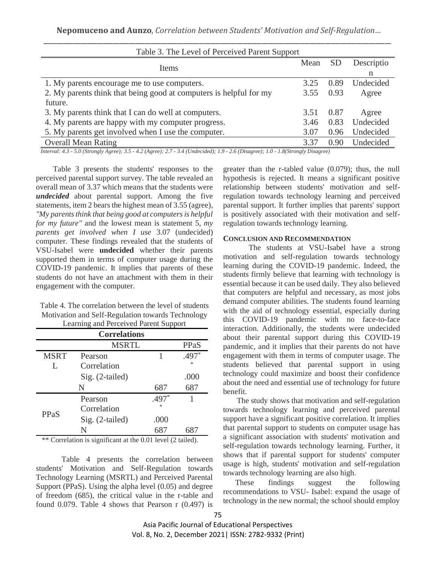| Table 3. The Level of Perceived Parent Support                     |      |           |            |  |  |  |
|--------------------------------------------------------------------|------|-----------|------------|--|--|--|
| Items                                                              | Mean | <b>SD</b> | Descriptio |  |  |  |
|                                                                    |      |           | n          |  |  |  |
| 1. My parents encourage me to use computers.                       | 3.25 | 0.89      | Undecided  |  |  |  |
| 2. My parents think that being good at computers is helpful for my | 3.55 | 0.93      | Agree      |  |  |  |
| future.                                                            |      |           |            |  |  |  |
| 3. My parents think that I can do well at computers.               | 3.51 | 0.87      | Agree      |  |  |  |
| 4. My parents are happy with my computer progress.                 | 3.46 | 0.83      | Undecided  |  |  |  |
| 5. My parents get involved when I use the computer.                | 3.07 | 0.96      | Undecided  |  |  |  |
| <b>Overall Mean Rating</b>                                         | 3.37 | 0.90      | Undecided  |  |  |  |
|                                                                    |      |           |            |  |  |  |

*Interval: 4.3 - 5.0 (Strongly Agree); 3.5 - 4.2 (Agree); 2.7 - 3.4 (Undecided); 1.9 - 2.6 (Disagree); 1.0 - 1.8(Strongly Disagree)*

Table 3 presents the students' responses to the perceived parental support survey. The table revealed an overall mean of 3.37 which means that the students were *undecided* about parental support. Among the five statements, item 2 bears the highest mean of 3.55 (agree), *"My parents think that being good at computers is helpful for my future"* and the lowest mean is statement 5, *my parents get involved when I use* 3.07 (undecided) computer. These findings revealed that the students of VSU-Isabel were **undecided** whether their parents supported them in terms of computer usage during the COVID-19 pandemic. It implies that parents of these students do not have an attachment with them in their engagement with the computer.

| Table 4. The correlation between the level of students |
|--------------------------------------------------------|
| Motivation and Self-Regulation towards Technology      |
| Learning and Perceived Parent Support                  |

| <b>Correlations</b> |                 |         |         |  |  |
|---------------------|-----------------|---------|---------|--|--|
|                     | PPaS            |         |         |  |  |
| <b>MSRT</b>         | Pearson         | 1       | $.497*$ |  |  |
| L                   | Correlation     |         | sk.     |  |  |
|                     | Sig. (2-tailed) |         | .000    |  |  |
|                     | N               | 687     | 687     |  |  |
| PPaS                | Pearson         | $.497*$ | 1       |  |  |
|                     | Correlation     | sk.     |         |  |  |
|                     | Sig. (2-tailed) | .000    |         |  |  |
|                     | N               |         |         |  |  |

\*\* Correlation is significant at the 0.01 level (2 tailed).

Table 4 presents the correlation between students' Motivation and Self-Regulation towards Technology Learning (MSRTL) and Perceived Parental Support (PPaS). Using the alpha level (0.05) and degree of freedom (685), the critical value in the r-table and found 0.079. Table 4 shows that Pearson  $r(0.497)$  is

greater than the r-tabled value (0.079); thus, the null hypothesis is rejected. It means a significant positive relationship between students' motivation and selfregulation towards technology learning and perceived parental support. It further implies that parents' support is positively associated with their motivation and selfregulation towards technology learning.

### **CONCLUSION AND RECOMMENDATION**

The students at VSU-Isabel have a strong motivation and self-regulation towards technology learning during the COVID-19 pandemic. Indeed, the students firmly believe that learning with technology is essential because it can be used daily. They also believed that computers are helpful and necessary, as most jobs demand computer abilities. The students found learning with the aid of technology essential, especially during this COVID-19 pandemic with no face-to-face interaction. Additionally, the students were undecided about their parental support during this COVID-19 pandemic, and it implies that their parents do not have engagement with them in terms of computer usage. The students believed that parental support in using technology could maximize and boost their confidence about the need and essential use of technology for future benefit.

 The study shows that motivation and self-regulation towards technology learning and perceived parental support have a significant positive correlation. It implies that parental support to students on computer usage has a significant association with students' motivation and self-regulation towards technology learning. Further, it shows that if parental support for students' computer usage is high, students' motivation and self-regulation towards technology learning are also high.

These findings suggest the following recommendations to VSU- Isabel: expand the usage of technology in the new normal; the school should employ

Asia Pacific Journal of Educational Perspectives Vol. 8, No. 2, December 2021| ISSN: 2782-9332 (Print)